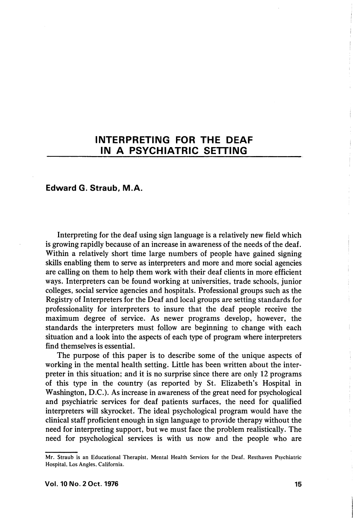# INTERPRETING FOR THE DEAF IN A PSYCHIATRIC SETTING

## Edward G. Straub, M.A.

Interpreting for the deaf using sign language is a relatively new field which is growing rapidly because of an increase in awareness of the needs of the deaf. Within a relatively short time large numbers of people have gained signing skills enabling them to serve as interpreters and more and more social agencies are calling on them to help them work with their deaf clients in more efficient ways. Interpreters can be found working at universities, trade schools, junior colleges, social service agencies and hospitals. Professional groups such as the Registry of Interpreters for the Deaf and local groups are setting standards for professionality for interpreters to insure that the deaf people receive the maximum degree of service. As newer programs develop, however, the standards the interpreters must follow are beginning to change with each situation and a look into the aspects of each type of program where interpreters find themselves is essential.

The purpose of this paper is to describe some of the unique aspects of working in the mental health setting. Little has been written about the inter preter in this situation; and it is no surprise since there are only 12 programs of this type in the country (as reported by St. Elizabeth's Hospital in Washington, D.C.). As increase in awareness of the great need for psychological and psychiatric services for deaf patients surfaces, the need for qualified interpreters will skyrocket. The ideal psychological program would have the clinical staff proficient enough in sign language to provide therapy without the need for interpreting support, but we must face the problem realistically. The need for psychological services is with us now and the people who are

Mr. Straub is an Educational Therapist, Mental Health Services for the Deaf, Resthaven Psychiatric Hospital, Los Angles, California.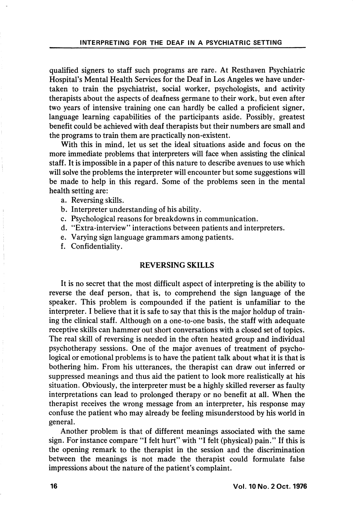qualified signers to staff such programs are rare. At Resthaven Psychiatric Hospital's Mental Health Services for the Deaf in Los Angeles we have under taken to train the psychiatrist, social worker, psychologists, and activity therapists about the aspects of deafness germane to their work, but even after two years of intensive training one can hardly be called a proficient signer, language learning capabilities of the participants aside. Possibly, greatest benefit could be achieved with deaf therapists but their numbers are small and the programs to train them are practically non-existent.

With this in mind, let us set the ideal situations aside and focus on the more immediate problems that interpreters will face when assisting the clinical staff. It is impossible in a paper of this nature to describe avenues to use which will solve the problems the interpreter will encounter but some suggestions will be made to help in this regard. Some of the problems seen in the mental health setting are:

- a. Reversing skills.
- b. Interpreter understanding of his ability.
- c. Psychological reasons for breakdowns in communication.
- d. "Extra-interview" interactions between patients and interpreters.
- e. Varying sign language grammars among patients.
- f. Confidentiality.

## REVERSING SKILLS

It is no secret that the most difficult aspect of interpreting is the ability to reverse the deaf person, that is, to comprehend the sign language of the speaker. This problem is compounded if the patient is unfamiliar to the interpreter. I believe that it is safe to say that this is the major holdup of train ing the clinical staff. Although on a one-to-one basis, the staff with adequate receptive skills can hammer out short conversations with a closed set of topics. The real skill of reversing is needed in the often heated group and individual psychotherapy sessions. One of the major avenues of treatment of psycho logical or emotional problems is to have the patient talk about what it is that is bothering him. From his utterances, the therapist can draw out inferred or suppressed meanings and thus aid the patient to look more realistically at his situation. Obviously, the interpreter must be a highly skilled reverser as faulty interpretations can lead to prolonged therapy or no benefit at all. When the therapist receives the wrong message from an interpreter, his response may confuse the patient who may already be feeling misunderstood by his world in general.

Another problem is that of different meanings associated with the same sign. For instance compare "I felt hurt" with "I felt (physical) pain." If this is the opening remark to the therapist in the session and the discrimination between the meanings is not made the therapist could formulate false impressions about the nature of the patient's complaint.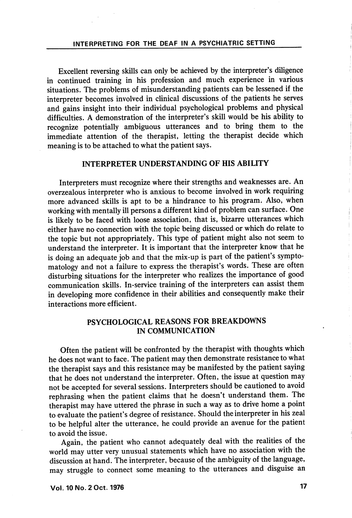Excellent reversing skills can only be achieved by the interpreter's diligence in continued training in his profession and much experience in various situations. The problems of misunderstanding patients can be lessened if the interpreter becomes involved in clinical discussions of the patients he serves and gains insight into their individual psychological problems and physical difficulties. A demonstration of the interpreter's skill would be his ability to recognize potentially ambiguous utterances and to bring them to the immediate attention of the therapist, letting the therapist decide which meaning is to be attached to what the patient says.

## INTERPRETER UNDERSTANDING OF HIS ABILITY

Interpreters must recognize where their strengths and weaknesses are. An overzealous interpreter who is anxious to become involved in work requiring more advanced skills is apt to be a hindrance to his program. Also, when working with mentally ill persons a different kind of problem can surface. One is likely to be faced with loose association, that is, bizarre utterances which either have no connection with the topic being discussed or which do relate to the topic but not appropriately. This type of patient might also not seem to understand the interpreter. It is important that the interpreter know that he is doing an adequate job and that the mix-up is part of the patient's sympto matology and not a failure to express the therapist's words. These are often disturbing situations for the interpreter who realizes the importance of good communication skills. In-service training of the interpreters can assist them in developing more confidence in their abilities and consequently make their interactions more efficient.

# PSYCHOLOGICAL REASONS FOR BREAKDOWNS IN COMMUNICATION

Often the patient will be confronted by the therapist with thoughts which he does not want to face. The patient may then demonstrate resistance to what the therapist says and this resistance may be manifested by the patient saying that he does not understand the interpreter. Often, the issue at question may not be accepted for several sessions. Interpreters should be cautioned to avoid rephrasing when the patient claims that he doesn't understand them. The therapist may have uttered the phrase in such a way as to drive home a point to evaluate the patient's degree of resistance. Should the interpreter in his zeal to be helpful alter the utterance, he could provide an avenue for the patient to avoid the issue.

Again, the patient who cannot adequately deal with the realities of the world may utter very unusual statements which have no association with the discussion at hand. The interpreter, because of the ambiguity of the language, may struggle to connect some meaning to the utterances and disguise an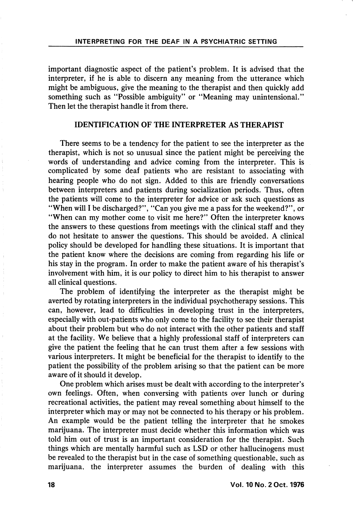important diagnostic aspect of the patient's problem. It is advised that the interpreter, if he is able to discern any meaning from the utterance which might be ambiguous, give the meaning to the therapist and then quickly add something such as "Possible ambiguity" or "Meaning may unintensional." Then let the therapist handle it from there.

#### IDENTIFICATION OF THE INTERPRETER AS THERAPIST

There seems to be a tendency for the patient to see the interpreter as the therapist, which is not so unusual since the patient might be perceiving the words of understanding and advice coming from the interpreter. This is complicated by some deaf patients who are resistant to associating with hearing people who do not sign. Added to this are friendly conversations between interpreters and patients during socialization periods. Thus, often the patients will come to the interpreter for advice or ask such questions as "When will I be discharged?", "Can you give me a pass for the weekend?", or "When can my mother come to visit me here?" Often the interpreter knows the answers to these questions from meetings with the clinical staff and they do not hesitate to answer the questions. This should be avoided. A clinical policy should be developed for handling these situations. It is important that the patient know where the decisions are coming from regarding his life or his stay in the program. In order to make the patient aware of his therapist's involvement with him, it is our policy to direct him to his therapist to answer all clinical questions.

The problem of identifying the interpreter as the therapist might be averted by rotating interpreters in the individual psychotherapy sessions. This can, however, lead to difficulties in developing trust in the interpreters, especially with out-patients who only come to the facility to see their therapist about their problem but who do not interact with the other patients and staff at the facility. We believe that a highly professional staff of interpreters can give the patient the feeling that he can trust them after a few sessions with various interpreters. It might be beneficial for the therapist to identify to the patient the possibility of the problem arising so that the patient can be more aware of it should it develop.

One problem which arises must be dealt with according to the interpreter's own feelings. Often, when conversing with patients over lunch or during recreational activities, the patient may reveal something about himself to the interpreter which may or may not be connected to his therapy or his problem. An example would be the patient telling the interpreter that he smokes marijuana. The interpreter must decide whether this information which was told him out of trust is an important consideration for the therapist. Such things which are mentally harmful such as LSD or other hallucinogens must be revealed to the therapist but in the case of something questionable, such as marijuana, the interpreter assumes the burden of dealing with this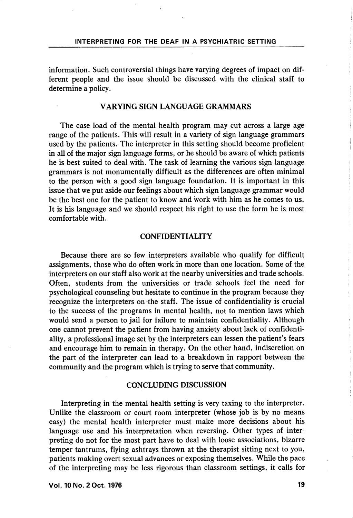information. Such controversial things have varying degrees of impact on dif ferent people and the issue should be discussed with the clinical staff to determine a policy.

#### VARYING SIGN LANGUAGE GRAMMARS

The case load of the mental health program may cut across a large age range of the patients. This will result in a variety of sign language grammars used by the patients. The interpreter in this setting should become proficient in all of the major sign language forms, or he should be aware of which patients he is best suited to deal with. The task of learning the various sign language grammars is not monumentally difficult as the differences are often minimal to the person with a good sign language foundation. It is important in this issue that we put aside our feelings about which sign language grammar would be the best one for the patient to know and work with him as he comes to us. It is his language and we should respect his right to use the form he is most comfortable with.

#### CONFIDENTIALITY

Because there are so few interpreters available who qualify for difficult assignments, those who do often work in more than one location. Some of the interpreters on our staff also work at the nearby universities and trade schools. Often, students from the universities or trade schools feel the need for psychological counseling but hesitate to continue in the program because they recognize the interpreters on the staff. The issue of confidentiality is crucial to the success of the programs in mental health, not to mention laws which would send a person to jail for failure to maintain confidentiality. Although one cannot prevent the patient from having anxiety about lack of confidenti ality, a professional image set by the interpreters can lessen the patient's fears and encourage him to remain in therapy. On the other hand, indiscretion on the part of the interpreter can lead to a breakdown in rapport between the community and the program which is trying to serve that community.

#### CONCLUDING DISCUSSION

Interpreting in the mental health setting is very taxing to the interpreter. Unlike the classroom or court room interpreter (whose job is by no means easy) the mental health interpreter must make more decisions about his language use and his interpretation when reversing. Other types of inter preting do not for the most part have to deal with loose associations, bizarre temper tantrums, flying ashtrays thrown at the therapist sitting next to you, patients making overt sexual advances or exposing themselves. While the pace of the interpreting may be less rigorous than classroom settings, it calls for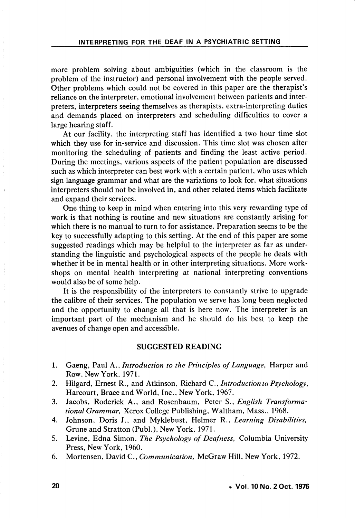more problem solving about ambiguities (which in the classroom is the problem of the instructor) and personal involvement with the people served. Other problems which could not be covered in this paper are the therapist's reliance on the interpreter, emotional involvement between patients and inter preters, interpreters seeing themselves as therapists, extra-interpreting duties and demands placed on interpreters and scheduling difficulties to cover a large hearing staff.

At our facility, the interpreting staff has identified a two hour time slot which they use for in-service and discussion. This time slot was chosen after monitoring the scheduling of patients and finding the least active period. During the meetings, various aspects of the patient population are discussed such as which interpreter can best work with a certain patient, who uses which sign language grammar and what are the variations to look for, what situations interpreters should not be involved in, and other related items which facilitate and expand their services.

One thing to keep in mind when entering into this very rewarding type of work is that nothing is routine and new situations are constantly arising for which there is no manual to turn to for assistance. Preparation seems to be the key to successfully adapting to this setting. At the end of this paper are some suggested readings which may be helpful to the interpreter as far as under standing the linguistic and psychological aspects of the people he deals with whether it be in mental health or in other interpreting situations. More workshops on mental health interpreting at national interpreting conventions would also be of some help.

It is the responsibility of the interpreters to constantly strive to upgrade the calibre of their services. The population we serve has long been neglected and the opportunity to change all that is here now. The interpreter is an important part of the mechanism and he should do his best to keep the avenues of change open and accessible.

### SUGGESTED READING

- 1. Gaeng, Paul A., Introduction to the Principles of Language, Harper and Row, New York, 1971.
- 2. Hilgard, Ernest R., and Atkinson, Richard C., Introduction to Psychology, Harcourt, Brace and World, Inc., New York, 1967.
- 3. Jacobs, Roderick A., and Rosenbaum, Peter S., English Transformational Grammar, Xerox College Publishing, Waltham, Mass., 1968.
- 4. Johnson, Doris J., and Myklebust, Helmer R., Learning Disabilities, Grune and Stratton (Publ.), New York, 1971.
- 5. Levine, Edna Simon, The Psychology of Deafness, Columbia University Press, New York, 1960.
- 6. Mortensen, David C., Communication, McGraw Hill, New York, 1972.